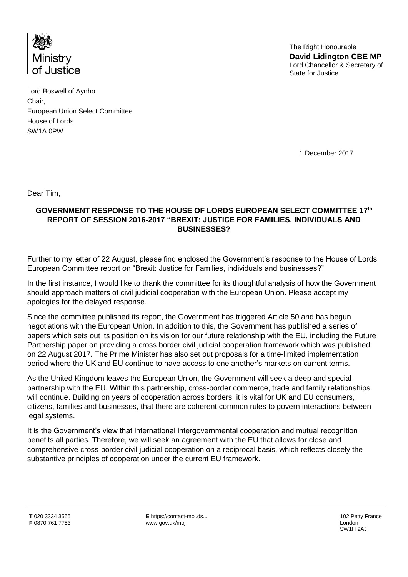

The Right Honourable **David Lidington CBE MP**  Lord Chancellor & Secretary of State for Justice

Lord Boswell of Aynho Chair, European Union Select Committee House of Lords SW1A 0PW

1 December 2017

Dear Tim,

## **GOVERNMENT RESPONSE TO THE HOUSE OF LORDS EUROPEAN SELECT COMMITTEE 17th REPORT OF SESSION 2016-2017 "BREXIT: JUSTICE FOR FAMILIES, INDIVIDUALS AND BUSINESSES?**

Further to my letter of 22 August, please find enclosed the Government's response to the House of Lords European Committee report on "Brexit: Justice for Families, individuals and businesses?"

In the first instance, I would like to thank the committee for its thoughtful analysis of how the Government should approach matters of civil judicial cooperation with the European Union. Please accept my apologies for the delayed response.

Since the committee published its report, the Government has triggered Article 50 and has begun negotiations with the European Union. In addition to this, the Government has published a series of papers which sets out its position on its vision for our future relationship with the EU, including the Future Partnership paper on providing a cross border civil judicial cooperation framework which was published on 22 August 2017. The Prime Minister has also set out proposals for a time-limited implementation period where the UK and EU continue to have access to one another's markets on current terms.

As the United Kingdom leaves the European Union, the Government will seek a deep and special partnership with the EU. Within this partnership, cross-border commerce, trade and family relationships will continue. Building on years of cooperation across borders, it is vital for UK and EU consumers, citizens, families and businesses, that there are coherent common rules to govern interactions between legal systems.

It is the Government's view that international intergovernmental cooperation and mutual recognition benefits all parties. Therefore, we will seek an agreement with the EU that allows for close and comprehensive cross-border civil judicial cooperation on a reciprocal basis, which reflects closely the substantive principles of cooperation under the current EU framework.

**E** [https://contact-moj.ds...](https://contact-moj.dsd.io/) www.gov.uk/moj

102 Petty France London SW1H 9AJ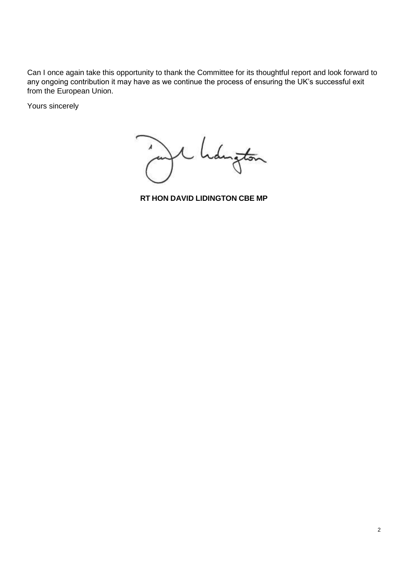Can I once again take this opportunity to thank the Committee for its thoughtful report and look forward to any ongoing contribution it may have as we continue the process of ensuring the UK's successful exit from the European Union.

Yours sincerely

Langton

**RT HON DAVID LIDINGTON CBE MP**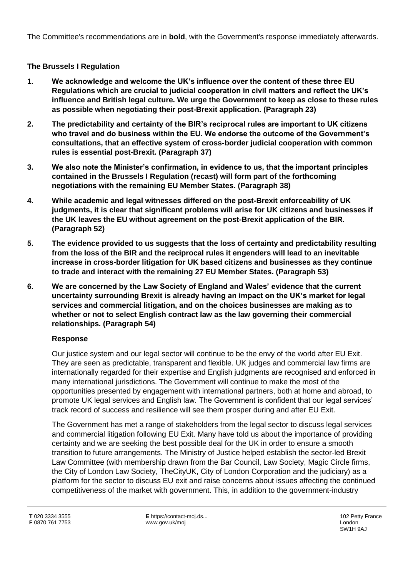The Committee's recommendations are in **bold**, with the Government's response immediately afterwards.

# **The Brussels I Regulation**

- **1. We acknowledge and welcome the UK's influence over the content of these three EU Regulations which are crucial to judicial cooperation in civil matters and reflect the UK's influence and British legal culture. We urge the Government to keep as close to these rules as possible when negotiating their post-Brexit application. (Paragraph 23)**
- **2. The predictability and certainty of the BIR's reciprocal rules are important to UK citizens who travel and do business within the EU. We endorse the outcome of the Government's consultations, that an effective system of cross-border judicial cooperation with common rules is essential post-Brexit. (Paragraph 37)**
- **3. We also note the Minister's confirmation, in evidence to us, that the important principles contained in the Brussels I Regulation (recast) will form part of the forthcoming negotiations with the remaining EU Member States. (Paragraph 38)**
- **4. While academic and legal witnesses differed on the post-Brexit enforceability of UK judgments, it is clear that significant problems will arise for UK citizens and businesses if the UK leaves the EU without agreement on the post-Brexit application of the BIR. (Paragraph 52)**
- **5. The evidence provided to us suggests that the loss of certainty and predictability resulting from the loss of the BIR and the reciprocal rules it engenders will lead to an inevitable increase in cross-border litigation for UK based citizens and businesses as they continue to trade and interact with the remaining 27 EU Member States. (Paragraph 53)**
- **6. We are concerned by the Law Society of England and Wales' evidence that the current uncertainty surrounding Brexit is already having an impact on the UK's market for legal services and commercial litigation, and on the choices businesses are making as to whether or not to select English contract law as the law governing their commercial relationships. (Paragraph 54)**

# **Response**

Our justice system and our legal sector will continue to be the envy of the world after EU Exit. They are seen as predictable, transparent and flexible. UK judges and commercial law firms are internationally regarded for their expertise and English judgments are recognised and enforced in many international jurisdictions. The Government will continue to make the most of the opportunities presented by engagement with international partners, both at home and abroad, to promote UK legal services and English law. The Government is confident that our legal services' track record of success and resilience will see them prosper during and after EU Exit.

The Government has met a range of stakeholders from the legal sector to discuss legal services and commercial litigation following EU Exit. Many have told us about the importance of providing certainty and we are seeking the best possible deal for the UK in order to ensure a smooth transition to future arrangements. The Ministry of Justice helped establish the sector-led Brexit Law Committee (with membership drawn from the Bar Council, Law Society, Magic Circle firms, the City of London Law Society, TheCityUK, City of London Corporation and the judiciary) as a platform for the sector to discuss EU exit and raise concerns about issues affecting the continued competitiveness of the market with government. This, in addition to the government-industry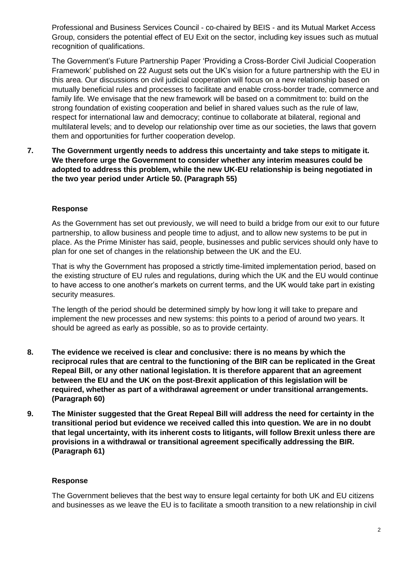Professional and Business Services Council - co-chaired by BEIS - and its Mutual Market Access Group, considers the potential effect of EU Exit on the sector, including key issues such as mutual recognition of qualifications.

The Government's Future Partnership Paper 'Providing a Cross-Border Civil Judicial Cooperation Framework' published on 22 August sets out the UK's vision for a future partnership with the EU in this area. Our discussions on civil judicial cooperation will focus on a new relationship based on mutually beneficial rules and processes to facilitate and enable cross-border trade, commerce and family life*.* We envisage that the new framework will be based on a commitment to: build on the strong foundation of existing cooperation and belief in shared values such as the rule of law, respect for international law and democracy; continue to collaborate at bilateral, regional and multilateral levels; and to develop our relationship over time as our societies, the laws that govern them and opportunities for further cooperation develop.

**7. The Government urgently needs to address this uncertainty and take steps to mitigate it. We therefore urge the Government to consider whether any interim measures could be adopted to address this problem, while the new UK-EU relationship is being negotiated in the two year period under Article 50. (Paragraph 55)** 

#### **Response**

As the Government has set out previously, we will need to build a bridge from our exit to our future partnership, to allow business and people time to adjust, and to allow new systems to be put in place. As the Prime Minister has said, people, businesses and public services should only have to plan for one set of changes in the relationship between the UK and the EU.

That is why the Government has proposed a strictly time-limited implementation period, based on the existing structure of EU rules and regulations, during which the UK and the EU would continue to have access to one another's markets on current terms, and the UK would take part in existing security measures.

The length of the period should be determined simply by how long it will take to prepare and implement the new processes and new systems: this points to a period of around two years. It should be agreed as early as possible, so as to provide certainty.

- **8. The evidence we received is clear and conclusive: there is no means by which the reciprocal rules that are central to the functioning of the BIR can be replicated in the Great Repeal Bill, or any other national legislation. It is therefore apparent that an agreement between the EU and the UK on the post-Brexit application of this legislation will be required, whether as part of a withdrawal agreement or under transitional arrangements. (Paragraph 60)**
- **9. The Minister suggested that the Great Repeal Bill will address the need for certainty in the transitional period but evidence we received called this into question. We are in no doubt that legal uncertainty, with its inherent costs to litigants, will follow Brexit unless there are provisions in a withdrawal or transitional agreement specifically addressing the BIR. (Paragraph 61)**

#### **Response**

The Government believes that the best way to ensure legal certainty for both UK and EU citizens and businesses as we leave the EU is to facilitate a smooth transition to a new relationship in civil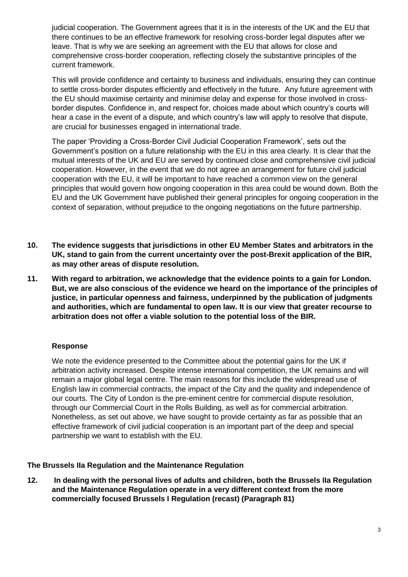judicial cooperation. The Government agrees that it is in the interests of the UK and the EU that there continues to be an effective framework for resolving cross-border legal disputes after we leave. That is why we are seeking an agreement with the EU that allows for close and comprehensive cross-border cooperation, reflecting closely the substantive principles of the current framework.

This will provide confidence and certainty to business and individuals, ensuring they can continue to settle cross-border disputes efficiently and effectively in the future. Any future agreement with the EU should maximise certainty and minimise delay and expense for those involved in crossborder disputes. Confidence in, and respect for, choices made about which country's courts will hear a case in the event of a dispute, and which country's law will apply to resolve that dispute, are crucial for businesses engaged in international trade.

The paper 'Providing a Cross-Border Civil Judicial Cooperation Framework', sets out the Government's position on a future relationship with the EU in this area clearly. It is clear that the mutual interests of the UK and EU are served by continued close and comprehensive civil judicial cooperation. However, in the event that we do not agree an arrangement for future civil judicial cooperation with the EU, it will be important to have reached a common view on the general principles that would govern how ongoing cooperation in this area could be wound down. Both the EU and the UK Government have published their general principles for ongoing cooperation in the context of separation, without prejudice to the ongoing negotiations on the future partnership.

- **10. The evidence suggests that jurisdictions in other EU Member States and arbitrators in the UK, stand to gain from the current uncertainty over the post-Brexit application of the BIR, as may other areas of dispute resolution.**
- **11. With regard to arbitration, we acknowledge that the evidence points to a gain for London. But, we are also conscious of the evidence we heard on the importance of the principles of justice, in particular openness and fairness, underpinned by the publication of judgments and authorities, which are fundamental to open law. It is our view that greater recourse to arbitration does not offer a viable solution to the potential loss of the BIR.**

## **Response**

We note the evidence presented to the Committee about the potential gains for the UK if arbitration activity increased. Despite intense international competition, the UK remains and will remain a major global legal centre. The main reasons for this include the widespread use of English law in commercial contracts, the impact of the City and the quality and independence of our courts. The City of London is the pre-eminent centre for commercial dispute resolution, through our Commercial Court in the Rolls Building, as well as for commercial arbitration. Nonetheless, as set out above, we have sought to provide certainty as far as possible that an effective framework of civil judicial cooperation is an important part of the deep and special partnership we want to establish with the EU.

### **The Brussels IIa Regulation and the Maintenance Regulation**

**12. In dealing with the personal lives of adults and children, both the Brussels IIa Regulation and the Maintenance Regulation operate in a very different context from the more commercially focused Brussels I Regulation (recast) (Paragraph 81)**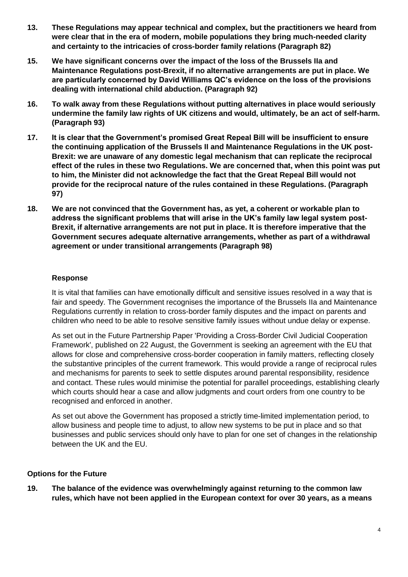- **13. These Regulations may appear technical and complex, but the practitioners we heard from were clear that in the era of modern, mobile populations they bring much-needed clarity and certainty to the intricacies of cross-border family relations (Paragraph 82)**
- **15. We have significant concerns over the impact of the loss of the Brussels IIa and Maintenance Regulations post-Brexit, if no alternative arrangements are put in place. We are particularly concerned by David Williams QC's evidence on the loss of the provisions dealing with international child abduction. (Paragraph 92)**
- **16. To walk away from these Regulations without putting alternatives in place would seriously undermine the family law rights of UK citizens and would, ultimately, be an act of self-harm. (Paragraph 93)**
- **17. It is clear that the Government's promised Great Repeal Bill will be insufficient to ensure the continuing application of the Brussels II and Maintenance Regulations in the UK post-Brexit: we are unaware of any domestic legal mechanism that can replicate the reciprocal effect of the rules in these two Regulations. We are concerned that, when this point was put to him, the Minister did not acknowledge the fact that the Great Repeal Bill would not provide for the reciprocal nature of the rules contained in these Regulations. (Paragraph 97)**
- **18. We are not convinced that the Government has, as yet, a coherent or workable plan to address the significant problems that will arise in the UK's family law legal system post-Brexit, if alternative arrangements are not put in place. It is therefore imperative that the Government secures adequate alternative arrangements, whether as part of a withdrawal agreement or under transitional arrangements (Paragraph 98)**

### **Response**

It is vital that families can have emotionally difficult and sensitive issues resolved in a way that is fair and speedy. The Government recognises the importance of the Brussels IIa and Maintenance Regulations currently in relation to cross-border family disputes and the impact on parents and children who need to be able to resolve sensitive family issues without undue delay or expense.

As set out in the Future Partnership Paper 'Providing a Cross-Border Civil Judicial Cooperation Framework', published on 22 August, the Government is seeking an agreement with the EU that allows for close and comprehensive cross-border cooperation in family matters, reflecting closely the substantive principles of the current framework. This would provide a range of reciprocal rules and mechanisms for parents to seek to settle disputes around parental responsibility, residence and contact. These rules would minimise the potential for parallel proceedings, establishing clearly which courts should hear a case and allow judgments and court orders from one country to be recognised and enforced in another.

As set out above the Government has proposed a strictly time-limited implementation period, to allow business and people time to adjust, to allow new systems to be put in place and so that businesses and public services should only have to plan for one set of changes in the relationship between the UK and the EU.

## **Options for the Future**

**19. The balance of the evidence was overwhelmingly against returning to the common law rules, which have not been applied in the European context for over 30 years, as a means**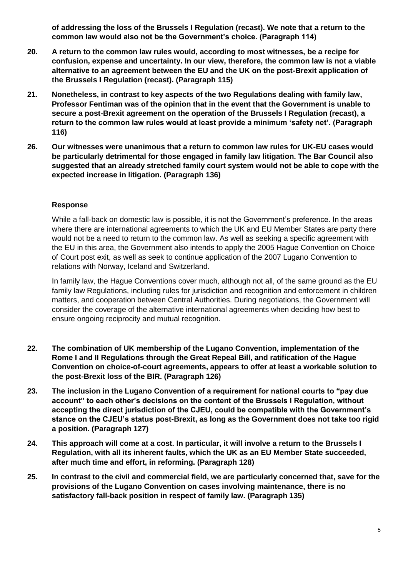**of addressing the loss of the Brussels I Regulation (recast). We note that a return to the common law would also not be the Government's choice. (Paragraph 114)**

- **20. A return to the common law rules would, according to most witnesses, be a recipe for confusion, expense and uncertainty. In our view, therefore, the common law is not a viable alternative to an agreement between the EU and the UK on the post-Brexit application of the Brussels I Regulation (recast). (Paragraph 115)**
- **21. Nonetheless, in contrast to key aspects of the two Regulations dealing with family law, Professor Fentiman was of the opinion that in the event that the Government is unable to secure a post-Brexit agreement on the operation of the Brussels I Regulation (recast), a return to the common law rules would at least provide a minimum 'safety net'. (Paragraph 116)**
- **26. Our witnesses were unanimous that a return to common law rules for UK-EU cases would be particularly detrimental for those engaged in family law litigation. The Bar Council also suggested that an already stretched family court system would not be able to cope with the expected increase in litigation. (Paragraph 136)**

### **Response**

While a fall-back on domestic law is possible, it is not the Government's preference. In the areas where there are international agreements to which the UK and EU Member States are party there would not be a need to return to the common law. As well as seeking a specific agreement with the EU in this area, the Government also intends to apply the 2005 Hague Convention on Choice of Court post exit, as well as seek to continue application of the 2007 Lugano Convention to relations with Norway, Iceland and Switzerland.

In family law, the Hague Conventions cover much, although not all, of the same ground as the EU family law Regulations, including rules for jurisdiction and recognition and enforcement in children matters, and cooperation between Central Authorities. During negotiations, the Government will consider the coverage of the alternative international agreements when deciding how best to ensure ongoing reciprocity and mutual recognition.

- **22. The combination of UK membership of the Lugano Convention, implementation of the Rome I and II Regulations through the Great Repeal Bill, and ratification of the Hague Convention on choice-of-court agreements, appears to offer at least a workable solution to the post-Brexit loss of the BIR. (Paragraph 126)**
- **23. The inclusion in the Lugano Convention of a requirement for national courts to "pay due account" to each other's decisions on the content of the Brussels I Regulation, without accepting the direct jurisdiction of the CJEU, could be compatible with the Government's stance on the CJEU's status post-Brexit, as long as the Government does not take too rigid a position. (Paragraph 127)**
- **24. This approach will come at a cost. In particular, it will involve a return to the Brussels I Regulation, with all its inherent faults, which the UK as an EU Member State succeeded, after much time and effort, in reforming. (Paragraph 128)**
- **25. In contrast to the civil and commercial field, we are particularly concerned that, save for the provisions of the Lugano Convention on cases involving maintenance, there is no satisfactory fall-back position in respect of family law. (Paragraph 135)**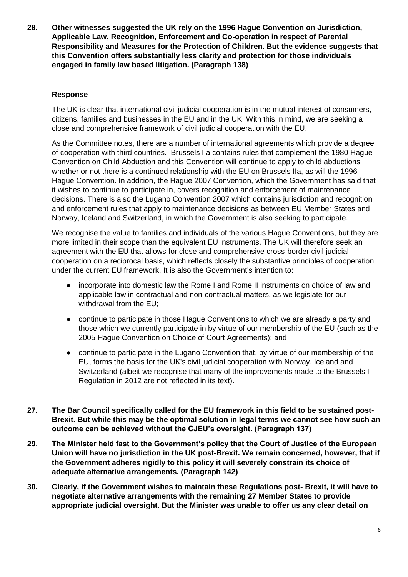**28. Other witnesses suggested the UK rely on the 1996 Hague Convention on Jurisdiction, Applicable Law, Recognition, Enforcement and Co-operation in respect of Parental Responsibility and Measures for the Protection of Children. But the evidence suggests that this Convention offers substantially less clarity and protection for those individuals engaged in family law based litigation. (Paragraph 138)**

## **Response**

The UK is clear that international civil judicial cooperation is in the mutual interest of consumers, citizens, families and businesses in the EU and in the UK. With this in mind, we are seeking a close and comprehensive framework of civil judicial cooperation with the EU.

As the Committee notes, there are a number of international agreements which provide a degree of cooperation with third countries. Brussels IIa contains rules that complement the 1980 Hague Convention on Child Abduction and this Convention will continue to apply to child abductions whether or not there is a continued relationship with the EU on Brussels IIa, as will the 1996 Hague Convention. In addition, the Hague 2007 Convention, which the Government has said that it wishes to continue to participate in, covers recognition and enforcement of maintenance decisions. There is also the Lugano Convention 2007 which contains jurisdiction and recognition and enforcement rules that apply to maintenance decisions as between EU Member States and Norway, Iceland and Switzerland, in which the Government is also seeking to participate.

We recognise the value to families and individuals of the various Hague Conventions, but they are more limited in their scope than the equivalent EU instruments. The UK will therefore seek an agreement with the EU that allows for close and comprehensive cross-border civil judicial cooperation on a reciprocal basis, which reflects closely the substantive principles of cooperation under the current EU framework. It is also the Government's intention to:

- incorporate into domestic law the Rome I and Rome II instruments on choice of law and applicable law in contractual and non-contractual matters, as we legislate for our withdrawal from the EU;
- continue to participate in those Hague Conventions to which we are already a party and those which we currently participate in by virtue of our membership of the EU (such as the 2005 Hague Convention on Choice of Court Agreements); and
- continue to participate in the Lugano Convention that, by virtue of our membership of the EU, forms the basis for the UK's civil judicial cooperation with Norway, Iceland and Switzerland (albeit we recognise that many of the improvements made to the Brussels I Regulation in 2012 are not reflected in its text).
- **27. The Bar Council specifically called for the EU framework in this field to be sustained post-Brexit. But while this may be the optimal solution in legal terms we cannot see how such an outcome can be achieved without the CJEU's oversight. (Paragraph 137)**
- **29**. **The Minister held fast to the Government's policy that the Court of Justice of the European Union will have no jurisdiction in the UK post-Brexit. We remain concerned, however, that if the Government adheres rigidly to this policy it will severely constrain its choice of adequate alternative arrangements. (Paragraph 142)**
- **30. Clearly, if the Government wishes to maintain these Regulations post- Brexit, it will have to negotiate alternative arrangements with the remaining 27 Member States to provide appropriate judicial oversight. But the Minister was unable to offer us any clear detail on**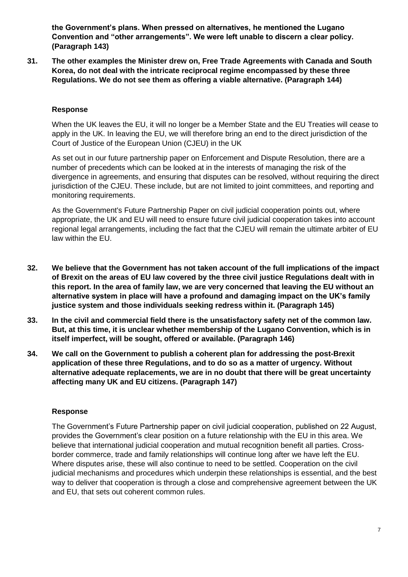**the Government's plans. When pressed on alternatives, he mentioned the Lugano Convention and "other arrangements". We were left unable to discern a clear policy. (Paragraph 143)** 

**31. The other examples the Minister drew on, Free Trade Agreements with Canada and South Korea, do not deal with the intricate reciprocal regime encompassed by these three Regulations. We do not see them as offering a viable alternative. (Paragraph 144)**

#### **Response**

When the UK leaves the EU, it will no longer be a Member State and the EU Treaties will cease to apply in the UK. In leaving the EU, we will therefore bring an end to the direct jurisdiction of the Court of Justice of the European Union (CJEU) in the UK

As set out in our future partnership paper on Enforcement and Dispute Resolution, there are a number of precedents which can be looked at in the interests of managing the risk of the divergence in agreements, and ensuring that disputes can be resolved, without requiring the direct jurisdiction of the CJEU. These include, but are not limited to joint committees, and reporting and monitoring requirements.

As the Government's Future Partnership Paper on civil judicial cooperation points out, where appropriate, the UK and EU will need to ensure future civil judicial cooperation takes into account regional legal arrangements, including the fact that the CJEU will remain the ultimate arbiter of EU law within the EU.

- **32. We believe that the Government has not taken account of the full implications of the impact of Brexit on the areas of EU law covered by the three civil justice Regulations dealt with in this report. In the area of family law, we are very concerned that leaving the EU without an alternative system in place will have a profound and damaging impact on the UK's family justice system and those individuals seeking redress within it. (Paragraph 145)**
- **33. In the civil and commercial field there is the unsatisfactory safety net of the common law. But, at this time, it is unclear whether membership of the Lugano Convention, which is in itself imperfect, will be sought, offered or available. (Paragraph 146)**
- **34. We call on the Government to publish a coherent plan for addressing the post-Brexit application of these three Regulations, and to do so as a matter of urgency. Without alternative adequate replacements, we are in no doubt that there will be great uncertainty affecting many UK and EU citizens. (Paragraph 147)**

#### **Response**

The Government's Future Partnership paper on civil judicial cooperation, published on 22 August, provides the Government's clear position on a future relationship with the EU in this area. We believe that international judicial cooperation and mutual recognition benefit all parties. Crossborder commerce, trade and family relationships will continue long after we have left the EU. Where disputes arise, these will also continue to need to be settled. Cooperation on the civil judicial mechanisms and procedures which underpin these relationships is essential, and the best way to deliver that cooperation is through a close and comprehensive agreement between the UK and EU, that sets out coherent common rules.